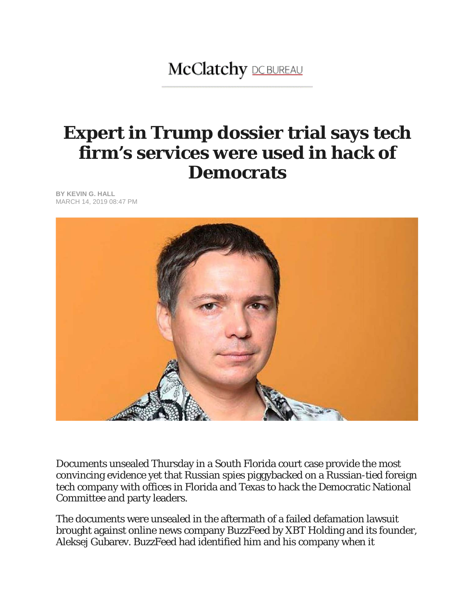## **McClatchy DCBUREAU**

## **Expert in Trump dossier trial says tech firm's services were used in hack of Democrats**

**BY KEVIN G. HALL** MARCH 14, 2019 08:47 PM



Documents unsealed Thursday in a South Florida court case provide the most convincing evidence yet that Russian spies piggybacked on a Russian-tied foreign tech company with offices in Florida and Texas to hack the Democratic National Committee and party leaders.

The documents were unsealed in the aftermath of a failed defamation lawsuit brought against online news company BuzzFeed by XBT Holding and its founder, Aleksej Gubarev. BuzzFeed had identified him and his company when it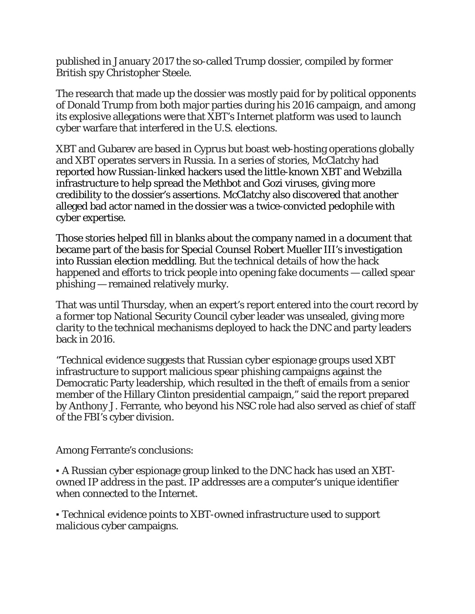published in January 2017 the so-called Trump dossier, compiled by former British spy Christopher Steele.

The research that made up the dossier was mostly paid for by political opponents of Donald Trump from both major parties during his 2016 campaign, and among its explosive allegations were that XBT's Internet platform was used to launch cyber warfare that interfered in the U.S. elections.

XBT and Gubarev are based in Cyprus but boast web-hosting operations globally and XBT operates servers in Russia. In a series of stories, McClatchy had reported how Russian-linked hackers used the little-known XBT and Webzilla infrastructure to help spread the Methbot and Gozi viruses, giving more credibility to the dossier's assertions. McClatchy also discovered that another alleged bad actor named in the dossier was a twice-convicted pedophile with cyber expertise.

Those stories helped fill in blanks about the company named in a document that became part of the basis for Special Counsel Robert Mueller III's investigation into Russian election meddling. But the technical details of how the hack happened and efforts to trick people into opening fake documents — called spear phishing — remained relatively murky.

That was until Thursday, when an expert's report entered into the court record by a former top National Security Council cyber leader was unsealed, giving more clarity to the technical mechanisms deployed to hack the DNC and party leaders back in 2016.

"Technical evidence suggests that Russian cyber espionage groups used XBT infrastructure to support malicious spear phishing campaigns against the Democratic Party leadership, which resulted in the theft of emails from a senior member of the Hillary Clinton presidential campaign," said the report prepared by Anthony J. Ferrante, who beyond his NSC role had also served as chief of staff of the FBI's cyber division.

Among Ferrante's conclusions:

▪ A Russian cyber espionage group linked to the DNC hack has used an XBTowned IP address in the past. IP addresses are a computer's unique identifier when connected to the Internet.

▪ Technical evidence points to XBT-owned infrastructure used to support malicious cyber campaigns.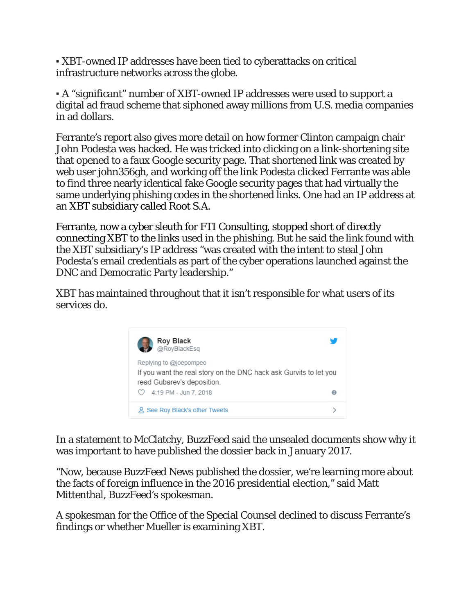▪ XBT-owned IP addresses have been tied to cyberattacks on critical infrastructure networks across the globe.

▪ A "significant" number of XBT-owned IP addresses were used to support a digital ad fraud scheme that siphoned away millions from U.S. media companies in ad dollars.

Ferrante's report also gives more detail on how former Clinton campaign chair John Podesta was hacked. He was tricked into clicking on a link-shortening site that opened to a faux Google security page. That shortened link was created by web user john356gh, and working off the link Podesta clicked Ferrante was able to find three nearly identical fake Google security pages that had virtually the same underlying phishing codes in the shortened links. One had an IP address at an XBT subsidiary called Root S.A.

Ferrante, now a cyber sleuth for FTI Consulting, stopped short of directly connecting XBT to the links used in the phishing. But he said the link found with the XBT subsidiary's IP address "was created with the intent to steal John Podesta's email credentials as part of the cyber operations launched against the DNC and Democratic Party leadership."

XBT has maintained throughout that it isn't responsible for what users of its services do.



In a statement to McClatchy, BuzzFeed said the unsealed documents show why it was important to have published the dossier back in January 2017.

"Now, because BuzzFeed News published the dossier, we're learning more about the facts of foreign influence in the 2016 presidential election," said Matt Mittenthal, BuzzFeed's spokesman.

A spokesman for the Office of the Special Counsel declined to discuss Ferrante's findings or whether Mueller is examining XBT.